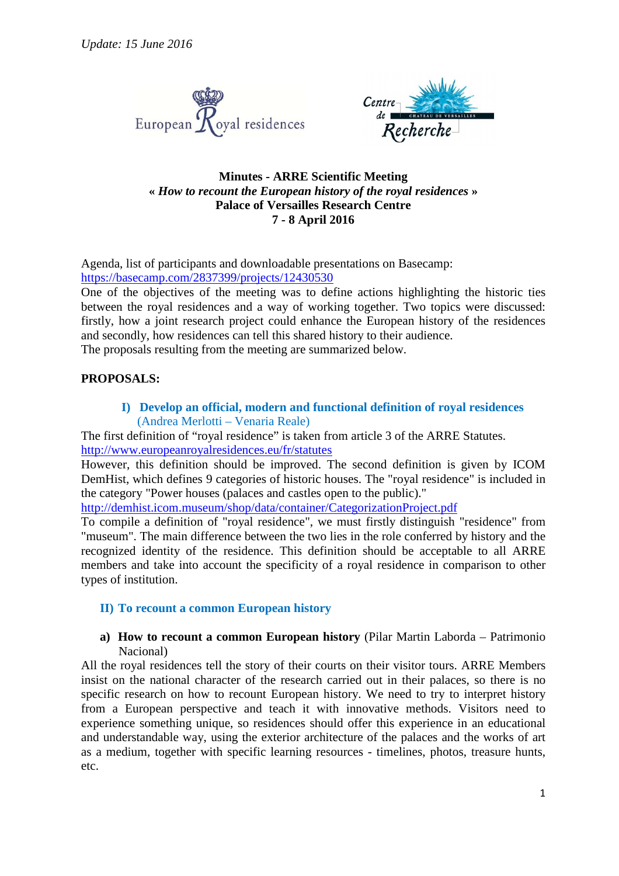



## **Minutes - ARRE Scientific Meeting «** *How to recount the European history of the royal residences* **» Palace of Versailles Research Centre 7 - 8 April 2016**

Agenda, list of participants and downloadable presentations on Basecamp: https://basecamp.com/2837399/projects/12430530

One of the objectives of the meeting was to define actions highlighting the historic ties between the royal residences and a way of working together. Two topics were discussed: firstly, how a joint research project could enhance the European history of the residences and secondly, how residences can tell this shared history to their audience.

The proposals resulting from the meeting are summarized below.

### **PROPOSALS:**

**I) Develop an official, modern and functional definition of royal residences**  (Andrea Merlotti – Venaria Reale)

The first definition of "royal residence" is taken from article 3 of the ARRE Statutes. http://www.europeanroyalresidences.eu/fr/statutes

However, this definition should be improved. The second definition is given by ICOM DemHist, which defines 9 categories of historic houses. The "royal residence" is included in the category "Power houses (palaces and castles open to the public)."

http://demhist.icom.museum/shop/data/container/CategorizationProject.pdf

To compile a definition of "royal residence", we must firstly distinguish "residence" from "museum". The main difference between the two lies in the role conferred by history and the recognized identity of the residence. This definition should be acceptable to all ARRE members and take into account the specificity of a royal residence in comparison to other types of institution.

#### **II) To recount a common European history**

#### **a) How to recount a common European history** (Pilar Martin Laborda – Patrimonio Nacional)

All the royal residences tell the story of their courts on their visitor tours. ARRE Members insist on the national character of the research carried out in their palaces, so there is no specific research on how to recount European history. We need to try to interpret history from a European perspective and teach it with innovative methods. Visitors need to experience something unique, so residences should offer this experience in an educational and understandable way, using the exterior architecture of the palaces and the works of art as a medium, together with specific learning resources - timelines, photos, treasure hunts, etc.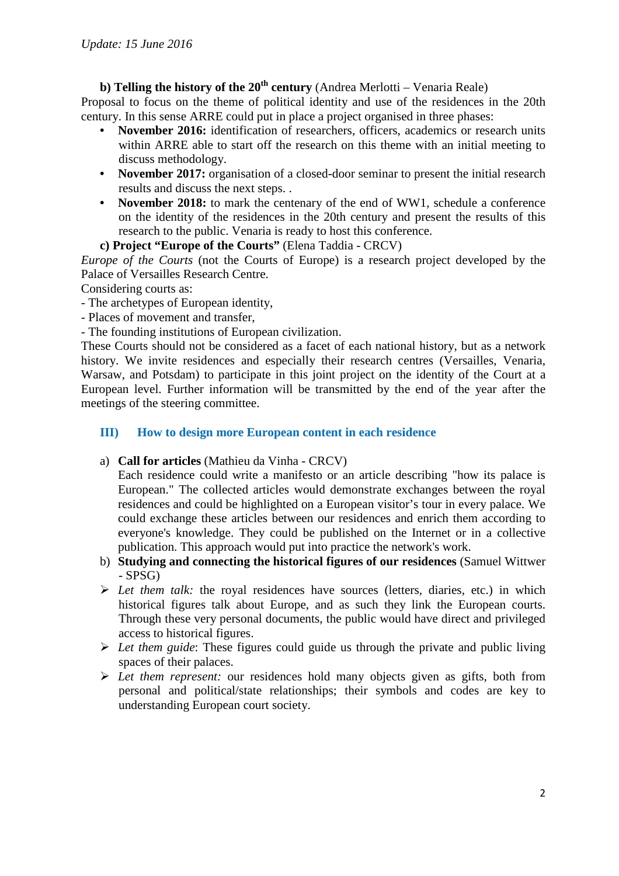# **b) Telling the history of the 20th century** (Andrea Merlotti – Venaria Reale)

Proposal to focus on the theme of political identity and use of the residences in the 20th century. In this sense ARRE could put in place a project organised in three phases:

- **November 2016:** identification of researchers, officers, academics or research units within ARRE able to start off the research on this theme with an initial meeting to discuss methodology.
- **November 2017:** organisation of a closed-door seminar to present the initial research results and discuss the next steps. .
- **November 2018:** to mark the centenary of the end of WW1, schedule a conference on the identity of the residences in the 20th century and present the results of this research to the public. Venaria is ready to host this conference.

## **c) Project "Europe of the Courts"** (Elena Taddia - CRCV)

*Europe of the Courts* (not the Courts of Europe) is a research project developed by the Palace of Versailles Research Centre.

Considering courts as:

- The archetypes of European identity,
- Places of movement and transfer,
- The founding institutions of European civilization.

These Courts should not be considered as a facet of each national history, but as a network history. We invite residences and especially their research centres (Versailles, Venaria, Warsaw, and Potsdam) to participate in this joint project on the identity of the Court at a European level. Further information will be transmitted by the end of the year after the meetings of the steering committee.

## **III) How to design more European content in each residence**

a) **Call for articles** (Mathieu da Vinha - CRCV)

Each residence could write a manifesto or an article describing "how its palace is European." The collected articles would demonstrate exchanges between the royal residences and could be highlighted on a European visitor's tour in every palace. We could exchange these articles between our residences and enrich them according to everyone's knowledge. They could be published on the Internet or in a collective publication. This approach would put into practice the network's work.

- b) **Studying and connecting the historical figures of our residences** (Samuel Wittwer - SPSG)
- *Let them talk:* the royal residences have sources (letters, diaries, etc.) in which historical figures talk about Europe, and as such they link the European courts. Through these very personal documents, the public would have direct and privileged access to historical figures.
- *Let them guide*: These figures could guide us through the private and public living spaces of their palaces.
- *Let them represent:* our residences hold many objects given as gifts, both from personal and political/state relationships; their symbols and codes are key to understanding European court society.